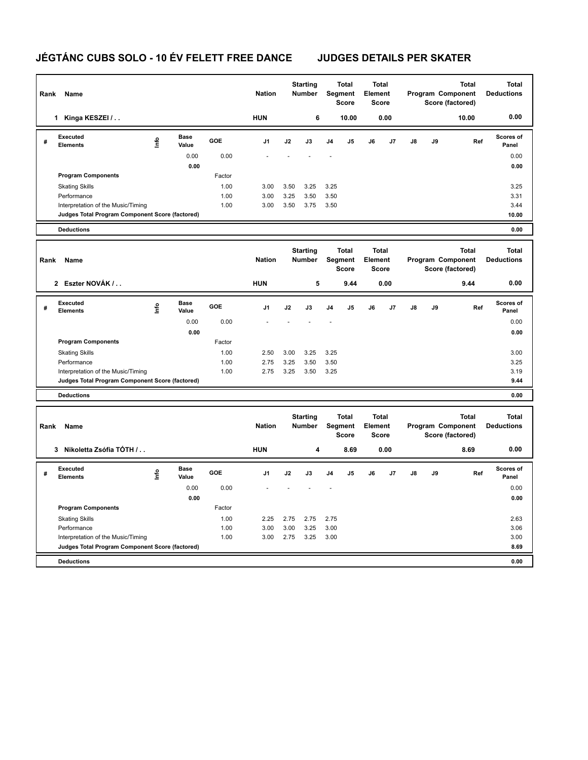## **JÉGTÁNC CUBS SOLO - 10 ÉV FELETT FREE DANCE JUDGES DETAILS PER SKATER**

| Rank | Name                                                                                  |      |                      |              | <b>Nation</b> | <b>Starting</b><br><b>Number</b> |                                                                             |                                         | <b>Total</b><br><b>Total</b><br>Segment<br>Element<br><b>Score</b><br><b>Score</b> |                                         |      | <b>Total</b><br>Program Component<br>Score (factored) |    |       | <b>Total</b><br><b>Deductions</b> |
|------|---------------------------------------------------------------------------------------|------|----------------------|--------------|---------------|----------------------------------|-----------------------------------------------------------------------------|-----------------------------------------|------------------------------------------------------------------------------------|-----------------------------------------|------|-------------------------------------------------------|----|-------|-----------------------------------|
|      | 1 Kinga KESZEI /                                                                      |      |                      |              | <b>HUN</b>    |                                  | 6                                                                           |                                         | 10.00                                                                              |                                         | 0.00 |                                                       |    | 10.00 | 0.00                              |
| #    | <b>Executed</b><br>Elements                                                           | lnfo | <b>Base</b><br>Value | <b>GOE</b>   | J1            | J2                               | J3                                                                          | J4                                      | J5                                                                                 | J6                                      | J7   | J8                                                    | J9 | Ref   | Scores of<br>Panel                |
|      |                                                                                       |      | 0.00                 | 0.00         |               |                                  |                                                                             |                                         |                                                                                    |                                         |      |                                                       |    |       | 0.00                              |
|      |                                                                                       |      | 0.00                 |              |               |                                  |                                                                             |                                         |                                                                                    |                                         |      |                                                       |    |       | 0.00                              |
|      | <b>Program Components</b>                                                             |      |                      | Factor       |               |                                  |                                                                             |                                         |                                                                                    |                                         |      |                                                       |    |       |                                   |
|      | <b>Skating Skills</b>                                                                 |      |                      | 1.00         | 3.00          | 3.50                             | 3.25                                                                        | 3.25                                    |                                                                                    |                                         |      |                                                       |    |       | 3.25                              |
|      | Performance<br>Interpretation of the Music/Timing                                     |      |                      | 1.00<br>1.00 | 3.00<br>3.00  | 3.25<br>3.50                     | 3.50<br>3.75                                                                | 3.50<br>3.50                            |                                                                                    |                                         |      |                                                       |    |       | 3.31<br>3.44                      |
|      | Judges Total Program Component Score (factored)                                       |      |                      |              |               |                                  |                                                                             |                                         |                                                                                    |                                         |      |                                                       |    |       | 10.00                             |
|      | <b>Deductions</b>                                                                     |      |                      |              |               |                                  |                                                                             |                                         |                                                                                    |                                         |      |                                                       |    |       | 0.00                              |
|      |                                                                                       |      |                      |              |               |                                  |                                                                             |                                         |                                                                                    |                                         |      |                                                       |    |       |                                   |
| Rank | Name                                                                                  |      |                      |              | <b>Nation</b> | <b>Starting</b><br><b>Number</b> |                                                                             | <b>Total</b><br>Segment<br><b>Score</b> |                                                                                    | <b>Total</b><br>Element<br><b>Score</b> |      | <b>Total</b><br>Program Component<br>Score (factored) |    |       | <b>Total</b><br><b>Deductions</b> |
|      | 2 Eszter NOVÁK /                                                                      |      |                      |              | <b>HUN</b>    |                                  | 5                                                                           |                                         | 9.44                                                                               |                                         | 0.00 |                                                       |    | 9.44  | 0.00                              |
| #    | Executed<br><b>Elements</b>                                                           | lnfo | <b>Base</b><br>Value | <b>GOE</b>   | J1            | J2                               | J3                                                                          | J4                                      | J5                                                                                 | J6                                      | J7   | J8                                                    | J9 | Ref   | Scores of<br>Panel                |
|      |                                                                                       |      | 0.00                 | 0.00         |               |                                  |                                                                             |                                         |                                                                                    |                                         |      |                                                       |    |       | 0.00                              |
|      |                                                                                       |      | 0.00                 |              |               |                                  |                                                                             |                                         |                                                                                    |                                         |      |                                                       |    |       | 0.00                              |
|      | <b>Program Components</b>                                                             |      |                      | Factor       |               |                                  |                                                                             |                                         |                                                                                    |                                         |      |                                                       |    |       |                                   |
|      | <b>Skating Skills</b>                                                                 |      |                      | 1.00         | 2.50          | 3.00                             | 3.25                                                                        | 3.25                                    |                                                                                    |                                         |      |                                                       |    |       | 3.00                              |
|      | Performance                                                                           |      |                      | 1.00         | 2.75          | 3.25                             | 3.50                                                                        | 3.50                                    |                                                                                    |                                         |      |                                                       |    |       | 3.25                              |
|      | Interpretation of the Music/Timing<br>Judges Total Program Component Score (factored) |      |                      | 1.00         | 2.75          | 3.25                             | 3.50                                                                        | 3.25                                    |                                                                                    |                                         |      |                                                       |    |       | 3.19<br>9.44                      |
|      | <b>Deductions</b>                                                                     |      |                      |              |               |                                  |                                                                             |                                         |                                                                                    |                                         |      |                                                       |    |       | 0.00                              |
|      |                                                                                       |      |                      |              |               |                                  |                                                                             |                                         |                                                                                    |                                         |      |                                                       |    |       |                                   |
| Rank | Name                                                                                  |      |                      |              | <b>Nation</b> |                                  | <b>Starting</b><br><b>Total</b><br>Segment<br><b>Number</b><br><b>Score</b> |                                         |                                                                                    | <b>Total</b><br>Element<br><b>Score</b> |      | <b>Total</b><br>Program Component<br>Score (factored) |    |       | <b>Total</b><br><b>Deductions</b> |
|      | 3 Nikoletta Zsófia TÓTH /                                                             |      |                      |              | <b>HUN</b>    |                                  | 4                                                                           |                                         | 8.69                                                                               |                                         | 0.00 |                                                       |    | 8.69  | 0.00                              |
| #    | <b>Executed</b><br><b>Elements</b>                                                    | lnfo | <b>Base</b><br>Value | GOE          | J1            | J2                               | J3                                                                          | J4                                      | J <sub>5</sub>                                                                     | J6                                      | J7   | J8                                                    | J9 | Ref   | <b>Scores of</b><br>Panel         |
|      |                                                                                       |      | 0.00                 | 0.00         |               |                                  |                                                                             |                                         |                                                                                    |                                         |      |                                                       |    |       | 0.00                              |
|      |                                                                                       |      | 0.00                 |              |               |                                  |                                                                             |                                         |                                                                                    |                                         |      |                                                       |    |       | 0.00                              |
|      | <b>Program Components</b>                                                             |      |                      | Factor       |               |                                  |                                                                             |                                         |                                                                                    |                                         |      |                                                       |    |       |                                   |
|      | <b>Skating Skills</b>                                                                 |      |                      | 1.00         | 2.25          | 2.75                             | 2.75                                                                        | 2.75                                    |                                                                                    |                                         |      |                                                       |    |       | 2.63                              |
|      | Performance                                                                           |      |                      | 1.00         | 3.00          | 3.00                             | 3.25                                                                        | 3.00                                    |                                                                                    |                                         |      |                                                       |    |       | 3.06                              |
|      | Interpretation of the Music/Timing<br>Judges Total Program Component Score (factored) |      |                      | 1.00         | 3.00          | 2.75                             | 3.25                                                                        | 3.00                                    |                                                                                    |                                         |      |                                                       |    |       | 3.00<br>8.69                      |
|      |                                                                                       |      |                      |              |               |                                  |                                                                             |                                         |                                                                                    |                                         |      |                                                       |    |       |                                   |
|      | <b>Deductions</b>                                                                     |      |                      |              |               |                                  |                                                                             |                                         |                                                                                    |                                         |      |                                                       |    |       | 0.00                              |